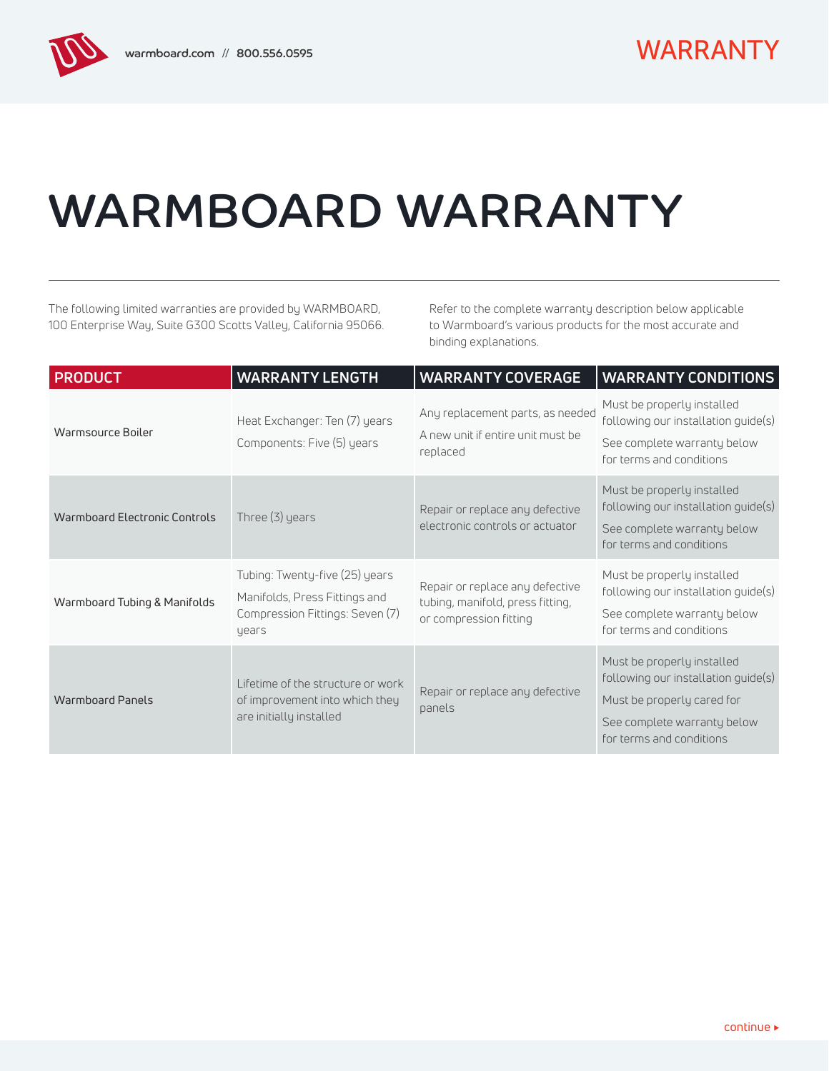# WARMBOARD WARRANTY

The following limited warranties are provided by WARMBOARD, 100 Enterprise Way, Suite G300 Scotts Valley, California 95066. Refer to the complete warranty description below applicable to Warmboard's various products for the most accurate and binding explanations.

| <b>PRODUCT</b>                | <b>WARRANTY LENGTH</b>                                                                                      | <b>WARRANTY COVERAGE</b>                                                                      | <b>WARRANTY CONDITIONS</b>                                                                                                                                 |
|-------------------------------|-------------------------------------------------------------------------------------------------------------|-----------------------------------------------------------------------------------------------|------------------------------------------------------------------------------------------------------------------------------------------------------------|
| Warmsource Boiler             | Heat Exchanger: Ten (7) years<br>Components: Five (5) years                                                 | Any replacement parts, as needed<br>A new unit if entire unit must be<br>replaced             | Must be properly installed<br>following our installation guide(s)<br>See complete warranty below<br>for terms and conditions                               |
| Warmboard Electronic Controls | Three $(3)$ years                                                                                           | Repair or replace any defective<br>electronic controls or actuator                            | Must be properly installed<br>following our installation guide(s)<br>See complete warranty below<br>for terms and conditions                               |
| Warmboard Tubing & Manifolds  | Tubing: Twenty-five (25) years<br>Manifolds, Press Fittings and<br>Compression Fittings: Seven (7)<br>years | Repair or replace any defective<br>tubing, manifold, press fitting,<br>or compression fitting | Must be properly installed<br>following our installation guide(s)<br>See complete warranty below<br>for terms and conditions                               |
| <b>Warmboard Panels</b>       | Lifetime of the structure or work<br>of improvement into which they<br>are initially installed              | Repair or replace any defective<br>panels                                                     | Must be properly installed<br>following our installation guide(s)<br>Must be properly cared for<br>See complete warranty below<br>for terms and conditions |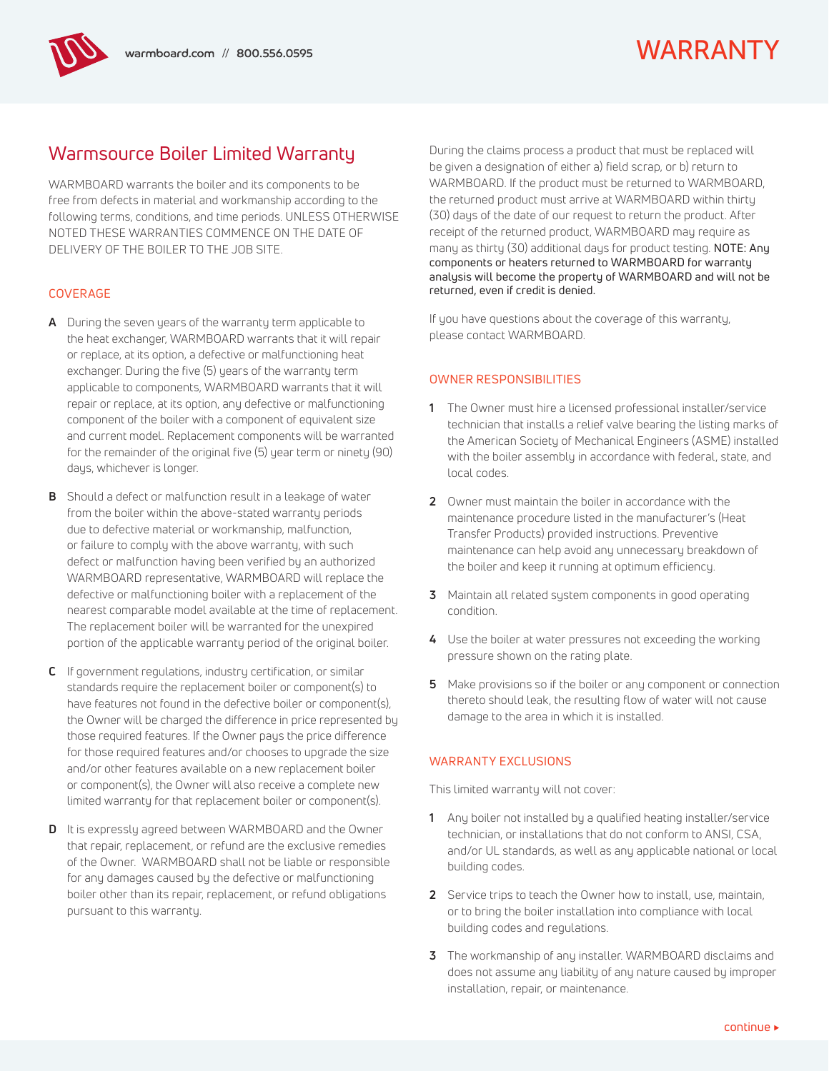## WARRANTY

## Warmsource Boiler Limited Warranty

WARMBOARD warrants the boiler and its components to be free from defects in material and workmanship according to the following terms, conditions, and time periods. UNLESS OTHERWISE NOTED THESE WARRANTIES COMMENCE ON THE DATE OF DELIVERY OF THE BOILER TO THE JOB SITE.

### COVERAGE

- **A** During the seven years of the warranty term applicable to the heat exchanger, WARMBOARD warrants that it will repair or replace, at its option, a defective or malfunctioning heat exchanger. During the five (5) years of the warranty term applicable to components, WARMBOARD warrants that it will repair or replace, at its option, any defective or malfunctioning component of the boiler with a component of equivalent size and current model. Replacement components will be warranted for the remainder of the original five (5) year term or ninety (90) days, whichever is longer.
- **B** Should a defect or malfunction result in a leakage of water from the boiler within the above-stated warranty periods due to defective material or workmanship, malfunction, or failure to comply with the above warranty, with such defect or malfunction having been verified by an authorized WARMBOARD representative, WARMBOARD will replace the defective or malfunctioning boiler with a replacement of the nearest comparable model available at the time of replacement. The replacement boiler will be warranted for the unexpired portion of the applicable warranty period of the original boiler.
- **C** If government regulations, industry certification, or similar standards require the replacement boiler or component(s) to have features not found in the defective boiler or component(s), the Owner will be charged the difference in price represented by those required features. If the Owner pays the price difference for those required features and/or chooses to upgrade the size and/or other features available on a new replacement boiler or component(s), the Owner will also receive a complete new limited warranty for that replacement boiler or component(s).
- **D** It is expressly agreed between WARMBOARD and the Owner that repair, replacement, or refund are the exclusive remedies of the Owner. WARMBOARD shall not be liable or responsible for any damages caused by the defective or malfunctioning boiler other than its repair, replacement, or refund obligations pursuant to this warranty.

During the claims process a product that must be replaced will be given a designation of either a) field scrap, or b) return to WARMBOARD. If the product must be returned to WARMBOARD, the returned product must arrive at WARMBOARD within thirty (30) days of the date of our request to return the product. After receipt of the returned product, WARMBOARD may require as many as thirty (30) additional days for product testing. NOTE: Any components or heaters returned to WARMBOARD for warranty analysis will become the property of WARMBOARD and will not be returned, even if credit is denied.

If you have questions about the coverage of this warranty, please contact WARMBOARD.

### OWNER RESPONSIBILITIES

- **1** The Owner must hire a licensed professional installer/service technician that installs a relief valve bearing the listing marks of the American Society of Mechanical Engineers (ASME) installed with the boiler assembly in accordance with federal, state, and local codes.
- **2** Owner must maintain the boiler in accordance with the maintenance procedure listed in the manufacturer's (Heat Transfer Products) provided instructions. Preventive maintenance can help avoid any unnecessary breakdown of the boiler and keep it running at optimum efficiency.
- **3** Maintain all related system components in good operating condition.
- **4** Use the boiler at water pressures not exceeding the working pressure shown on the rating plate.
- **5** Make provisions so if the boiler or any component or connection thereto should leak, the resulting flow of water will not cause damage to the area in which it is installed.

### WARRANTY EXCLUSIONS

This limited warranty will not cover:

- **1** Any boiler not installed by a qualified heating installer/service technician, or installations that do not conform to ANSI, CSA, and/or UL standards, as well as any applicable national or local building codes.
- **2** Service trips to teach the Owner how to install, use, maintain, or to bring the boiler installation into compliance with local building codes and regulations.
- **3** The workmanship of any installer. WARMBOARD disclaims and does not assume any liability of any nature caused by improper installation, repair, or maintenance.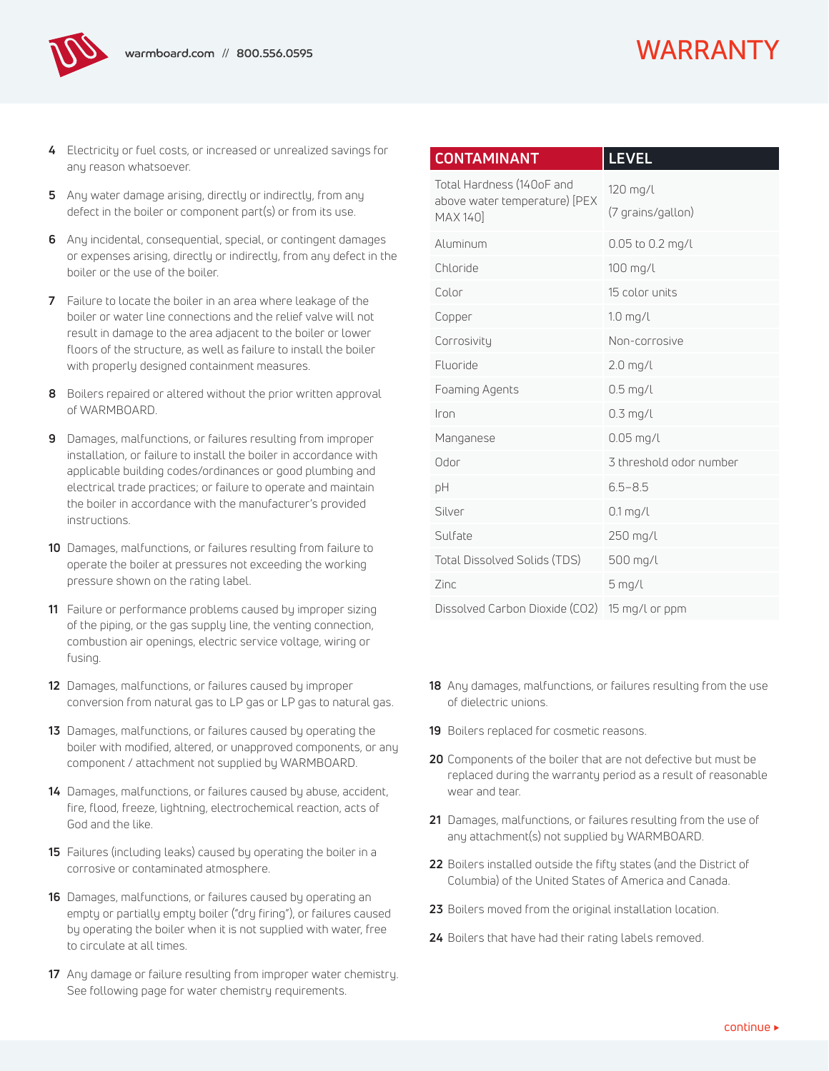- **4** Electricity or fuel costs, or increased or unrealized savings for any reason whatsoever.
- **5** Any water damage arising, directly or indirectly, from any defect in the boiler or component part(s) or from its use.
- **6** Any incidental, consequential, special, or contingent damages or expenses arising, directly or indirectly, from any defect in the boiler or the use of the boiler.
- **7** Failure to locate the boiler in an area where leakage of the boiler or water line connections and the relief valve will not result in damage to the area adjacent to the boiler or lower floors of the structure, as well as failure to install the boiler with properly designed containment measures.
- **8** Boilers repaired or altered without the prior written approval of WARMBOARD.
- **9** Damages, malfunctions, or failures resulting from improper installation, or failure to install the boiler in accordance with applicable building codes/ordinances or good plumbing and electrical trade practices; or failure to operate and maintain the boiler in accordance with the manufacturer's provided instructions.
- **10** Damages, malfunctions, or failures resulting from failure to operate the boiler at pressures not exceeding the working pressure shown on the rating label.
- **11** Failure or performance problems caused by improper sizing of the piping, or the gas supply line, the venting connection, combustion air openings, electric service voltage, wiring or fusing.
- **12** Damages, malfunctions, or failures caused by improper conversion from natural gas to LP gas or LP gas to natural gas.
- **13** Damages, malfunctions, or failures caused by operating the boiler with modified, altered, or unapproved components, or any component / attachment not supplied by WARMBOARD.
- **14** Damages, malfunctions, or failures caused by abuse, accident, fire, flood, freeze, lightning, electrochemical reaction, acts of God and the like.
- **15** Failures (including leaks) caused by operating the boiler in a corrosive or contaminated atmosphere.
- **16** Damages, malfunctions, or failures caused by operating an empty or partially empty boiler ("dry firing"), or failures caused by operating the boiler when it is not supplied with water, free to circulate at all times.
- **17** Any damage or failure resulting from improper water chemistry. See following page for water chemistry requirements.

| <b>CONTAMINANT</b>                                                     | <b>LEVEL</b>                  |  |
|------------------------------------------------------------------------|-------------------------------|--|
| Total Hardness (140oF and<br>above water temperature) [PEX<br>MAX 1401 | 120 mg/l<br>(7 grains/gallon) |  |
| Aluminum                                                               | 0.05 to 0.2 mg/l              |  |
| Chloride                                                               | 100 mg/l                      |  |
| Color                                                                  | 15 color units                |  |
| Copper                                                                 | $1.0$ mg/l                    |  |
| Corrosivity                                                            | Non-corrosive                 |  |
| Fluoride                                                               | $2.0$ mg/l                    |  |
| Foaming Agents                                                         | $0.5$ mg/l                    |  |
| Iron                                                                   | $0.3$ mg/l                    |  |
| Manganese                                                              | $0.05$ mg/l                   |  |
| Odor                                                                   | 3 threshold odor number       |  |
| рH                                                                     | $6.5 - 8.5$                   |  |
| Silver                                                                 | $0.1$ mg/l                    |  |
| Sulfate                                                                | 250 mg/l                      |  |
| <b>Total Dissolved Solids (TDS)</b>                                    | 500 mg/l                      |  |
| Zinc                                                                   | $5$ mg/l                      |  |
| Dissolved Carbon Dioxide (CO2)                                         | 15 mg/l or ppm                |  |

- **18** Any damages, malfunctions, or failures resulting from the use of dielectric unions.
- **19** Boilers replaced for cosmetic reasons.
- **20** Components of the boiler that are not defective but must be replaced during the warranty period as a result of reasonable wear and tear.
- **21** Damages, malfunctions, or failures resulting from the use of any attachment(s) not supplied by WARMBOARD.
- **22** Boilers installed outside the fifty states (and the District of Columbia) of the United States of America and Canada.
- **23** Boilers moved from the original installation location.
- **24** Boilers that have had their rating labels removed.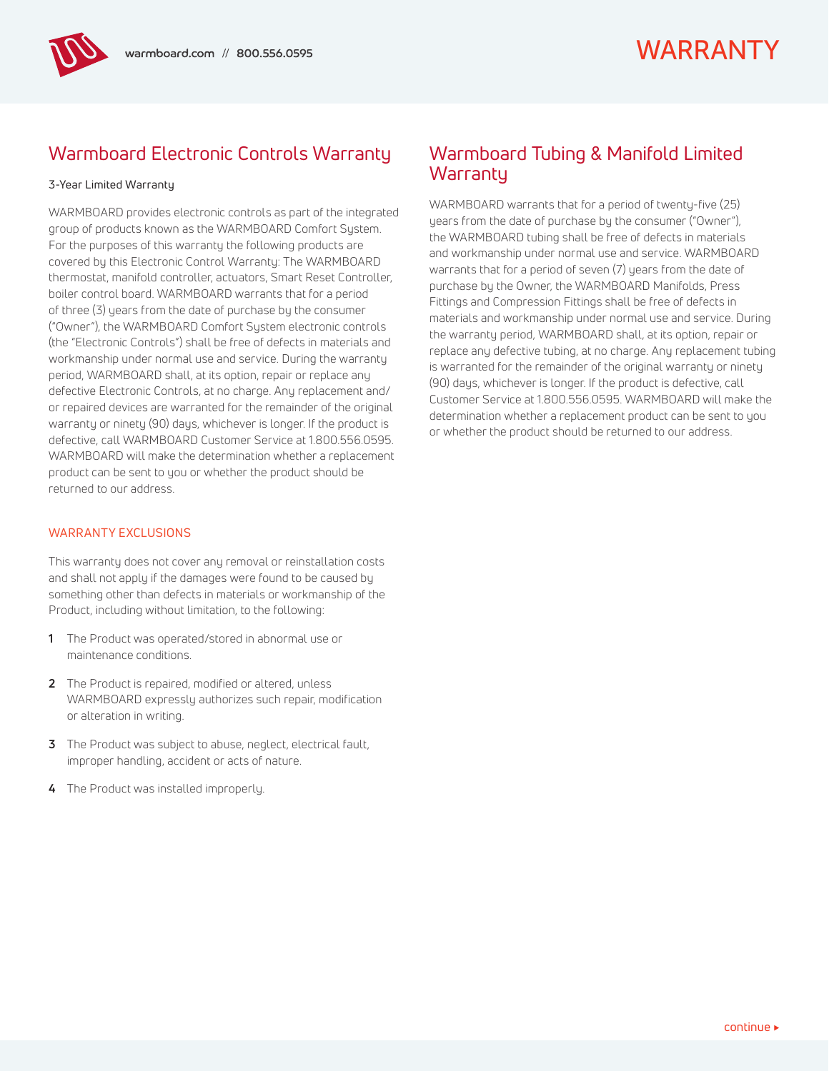## Warmboard Electronic Controls Warranty

#### 3-Year Limited Warranty

WARMBOARD provides electronic controls as part of the integrated group of products known as the WARMBOARD Comfort System. For the purposes of this warranty the following products are covered by this Electronic Control Warranty: The WARMBOARD thermostat, manifold controller, actuators, Smart Reset Controller, boiler control board. WARMBOARD warrants that for a period of three (3) years from the date of purchase by the consumer ("Owner"), the WARMBOARD Comfort System electronic controls (the "Electronic Controls") shall be free of defects in materials and workmanship under normal use and service. During the warranty period, WARMBOARD shall, at its option, repair or replace any defective Electronic Controls, at no charge. Any replacement and/ or repaired devices are warranted for the remainder of the original warranty or ninety (90) days, whichever is longer. If the product is defective, call WARMBOARD Customer Service at 1.800.556.0595. WARMBOARD will make the determination whether a replacement product can be sent to you or whether the product should be returned to our address.

#### WARRANTY FXCLUSIONS

This warranty does not cover any removal or reinstallation costs and shall not apply if the damages were found to be caused by something other than defects in materials or workmanship of the Product, including without limitation, to the following:

- **1** The Product was operated/stored in abnormal use or maintenance conditions.
- **2** The Product is repaired, modified or altered, unless WARMBOARD expressly authorizes such repair, modification or alteration in writing.
- **3** The Product was subject to abuse, neglect, electrical fault, improper handling, accident or acts of nature.
- **4** The Product was installed improperly.

## Warmboard Tubing & Manifold Limited **Warrantu**

WARMBOARD warrants that for a period of twenty-five (25) years from the date of purchase by the consumer ("Owner"), the WARMBOARD tubing shall be free of defects in materials and workmanship under normal use and service. WARMBOARD warrants that for a period of seven (7) years from the date of purchase by the Owner, the WARMBOARD Manifolds, Press Fittings and Compression Fittings shall be free of defects in materials and workmanship under normal use and service. During the warranty period, WARMBOARD shall, at its option, repair or replace any defective tubing, at no charge. Any replacement tubing is warranted for the remainder of the original warranty or ninety (90) days, whichever is longer. If the product is defective, call Customer Service at 1.800.556.0595. WARMBOARD will make the determination whether a replacement product can be sent to you or whether the product should be returned to our address.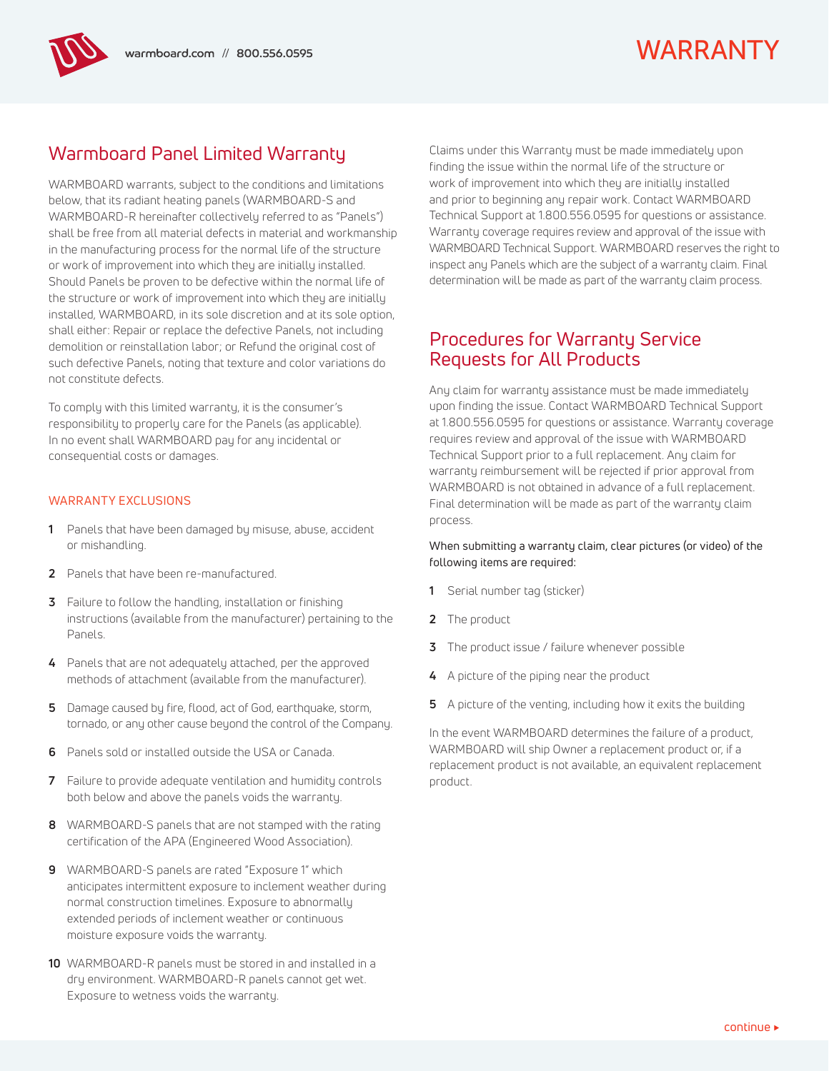## Warmboard Panel Limited Warranty

WARMBOARD warrants, subject to the conditions and limitations below, that its radiant heating panels (WARMBOARD-S and WARMBOARD-R hereinafter collectively referred to as "Panels") shall be free from all material defects in material and workmanship in the manufacturing process for the normal life of the structure or work of improvement into which they are initially installed. Should Panels be proven to be defective within the normal life of the structure or work of improvement into which they are initially installed, WARMBOARD, in its sole discretion and at its sole option, shall either: Repair or replace the defective Panels, not including demolition or reinstallation labor; or Refund the original cost of such defective Panels, noting that texture and color variations do not constitute defects.

To comply with this limited warranty, it is the consumer's responsibility to properly care for the Panels (as applicable). In no event shall WARMBOARD pay for any incidental or consequential costs or damages.

#### WARRANTY EXCLUSIONS

- **1** Panels that have been damaged by misuse, abuse, accident or mishandling.
- **2** Panels that have been re-manufactured.
- **3** Failure to follow the handling, installation or finishing instructions (available from the manufacturer) pertaining to the Panels.
- **4** Panels that are not adequately attached, per the approved methods of attachment (available from the manufacturer).
- **5** Damage caused by fire, flood, act of God, earthquake, storm, tornado, or any other cause beyond the control of the Company.
- **6** Panels sold or installed outside the USA or Canada.
- **7** Failure to provide adequate ventilation and humidity controls both below and above the panels voids the warranty.
- **8** WARMBOARD-S panels that are not stamped with the rating certification of the APA (Engineered Wood Association).
- **9** WARMBOARD-S panels are rated "Exposure 1" which anticipates intermittent exposure to inclement weather during normal construction timelines. Exposure to abnormally extended periods of inclement weather or continuous moisture exposure voids the warranty.
- **10** WARMBOARD-R panels must be stored in and installed in a dry environment. WARMBOARD-R panels cannot get wet. Exposure to wetness voids the warranty.

Claims under this Warranty must be made immediately upon finding the issue within the normal life of the structure or work of improvement into which they are initially installed and prior to beginning any repair work. Contact WARMBOARD Technical Support at 1.800.556.0595 for questions or assistance. Warranty coverage requires review and approval of the issue with WARMBOARD Technical Support. WARMBOARD reserves the right to inspect any Panels which are the subject of a warranty claim. Final determination will be made as part of the warranty claim process.

## Procedures for Warranty Service Requests for All Products

Any claim for warranty assistance must be made immediately upon finding the issue. Contact WARMBOARD Technical Support at 1.800.556.0595 for questions or assistance. Warranty coverage requires review and approval of the issue with WARMBOARD Technical Support prior to a full replacement. Any claim for warranty reimbursement will be rejected if prior approval from WARMBOARD is not obtained in advance of a full replacement. Final determination will be made as part of the warranty claim process.

#### When submitting a warranty claim, clear pictures (or video) of the following items are required:

- **1** Serial number tag (sticker)
- **2** The product
- **3** The product issue / failure whenever possible
- **4** A picture of the piping near the product
- **5** A picture of the venting, including how it exits the building

In the event WARMBOARD determines the failure of a product, WARMBOARD will ship Owner a replacement product or, if a replacement product is not available, an equivalent replacement product.